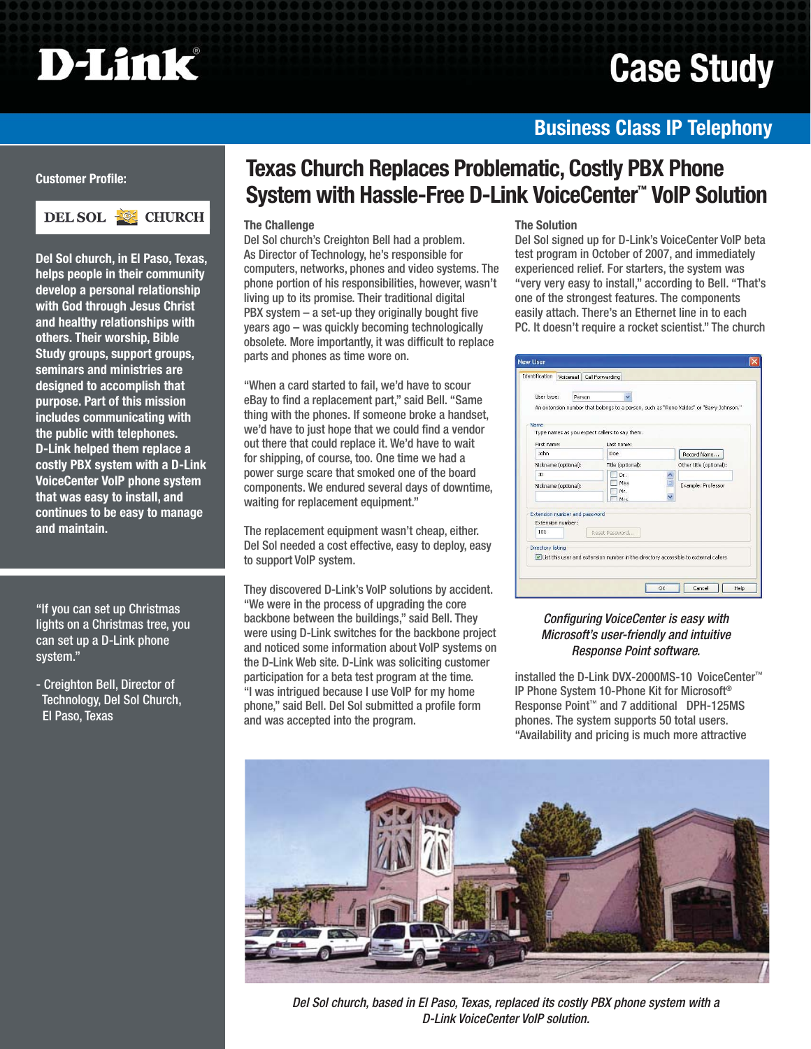# **D-Link**

## **Case Study**

### **Business Class IP Telephony**

#### **Customer Profile:**



**Del Sol church, in El Paso, Texas, helps people in their community develop a personal relationship with God through Jesus Christ and healthy relationships with others. Their worship, Bible Study groups, support groups, seminars and ministries are designed to accomplish that purpose. Part of this mission includes communicating with the public with telephones. D-Link helped them replace a costly PBX system with a D-Link VoiceCenter VoIP phone system that was easy to install, and continues to be easy to manage and maintain.** 

"If you can set up Christmas lights on a Christmas tree, you can set up a D-Link phone system."

- Creighton Bell, Director of Technology, Del Sol Church, El Paso, Texas

## **Texas Church Replaces Problematic, Costly PBX Phone System with Hassle-Free D-Link VoiceCenter™ VoIP Solution**

#### **The Challenge**

Del Sol church's Creighton Bell had a problem. As Director of Technology, he's responsible for computers, networks, phones and video systems. The phone portion of his responsibilities, however, wasn't living up to its promise. Their traditional digital  $PBX system - a set-up they originally bought five$ years ago – was quickly becoming technologically obsolete. More importantly, it was difficult to replace parts and phones as time wore on.

"When a card started to fail, we'd have to scour eBay to find a replacement part," said Bell. "Same thing with the phones. If someone broke a handset, we'd have to just hope that we could find a vendor out there that could replace it. We'd have to wait for shipping, of course, too. One time we had a power surge scare that smoked one of the board components. We endured several days of downtime, waiting for replacement equipment."

The replacement equipment wasn't cheap, either. Del Sol needed a cost effective, easy to deploy, easy to support VoIP system.

They discovered D-Link's VoIP solutions by accident. "We were in the process of upgrading the core backbone between the buildings," said Bell. They were using D-Link switches for the backbone project and noticed some information about VoIP systems on the D-Link Web site. D-Link was soliciting customer participation for a beta test program at the time. "I was intrigued because I use VoIP for my home phone," said Bell. Del Sol submitted a profile form and was accepted into the program.

#### **The Solution**

Del Sol signed up for D-Link's VoiceCenter VoIP beta test program in October of 2007, and immediately experienced relief. For starters, the system was "very very easy to install," according to Bell. "That's one of the strongest features. The components easily attach. There's an Ethernet line in to each PC. It doesn't require a rocket scientist." The church

| <b>Identification</b> |                                                    | Voicemail Call Forwarding                                                           |                                                                                         |  |
|-----------------------|----------------------------------------------------|-------------------------------------------------------------------------------------|-----------------------------------------------------------------------------------------|--|
| User type:            |                                                    | Person                                                                              |                                                                                         |  |
|                       |                                                    |                                                                                     | An extension number that belongs to a person, such as "Rene Valdes" or "Barry Johnson." |  |
| <b>Name</b>           |                                                    | Type names as you expect callers to say them.                                       |                                                                                         |  |
| First name:           |                                                    | Last name:                                                                          |                                                                                         |  |
| John                  |                                                    | Doe                                                                                 | Record Name                                                                             |  |
| Nickname (optional):  |                                                    | Title (optional):                                                                   | Other title (optional):                                                                 |  |
| ID                    |                                                    | Dr.                                                                                 |                                                                                         |  |
| Nickname (optional):  |                                                    | Miss<br>Mr.<br>Mrc                                                                  | Example: Professor                                                                      |  |
|                       | Extension number and password<br>Extension number: |                                                                                     |                                                                                         |  |
| 101                   |                                                    | Reset Password                                                                      |                                                                                         |  |
| Directory listing     |                                                    | List this user and extension number in the directory accessible to external callers |                                                                                         |  |
|                       |                                                    |                                                                                     |                                                                                         |  |

#### *Configuring VoiceCenter is easy with Microsoft's user-friendly and intuitive Response Point software.*

installed the D-Link DVX-2000MS-10 VoiceCenter™ IP Phone System 10-Phone Kit for Microsoft® Response Point™ and 7 additional DPH-125MS phones. The system supports 50 total users. "Availability and pricing is much more attractive



*Del Sol church, based in El Paso, Texas, replaced its costly PBX phone system with a D-Link VoiceCenter VoIP solution.*